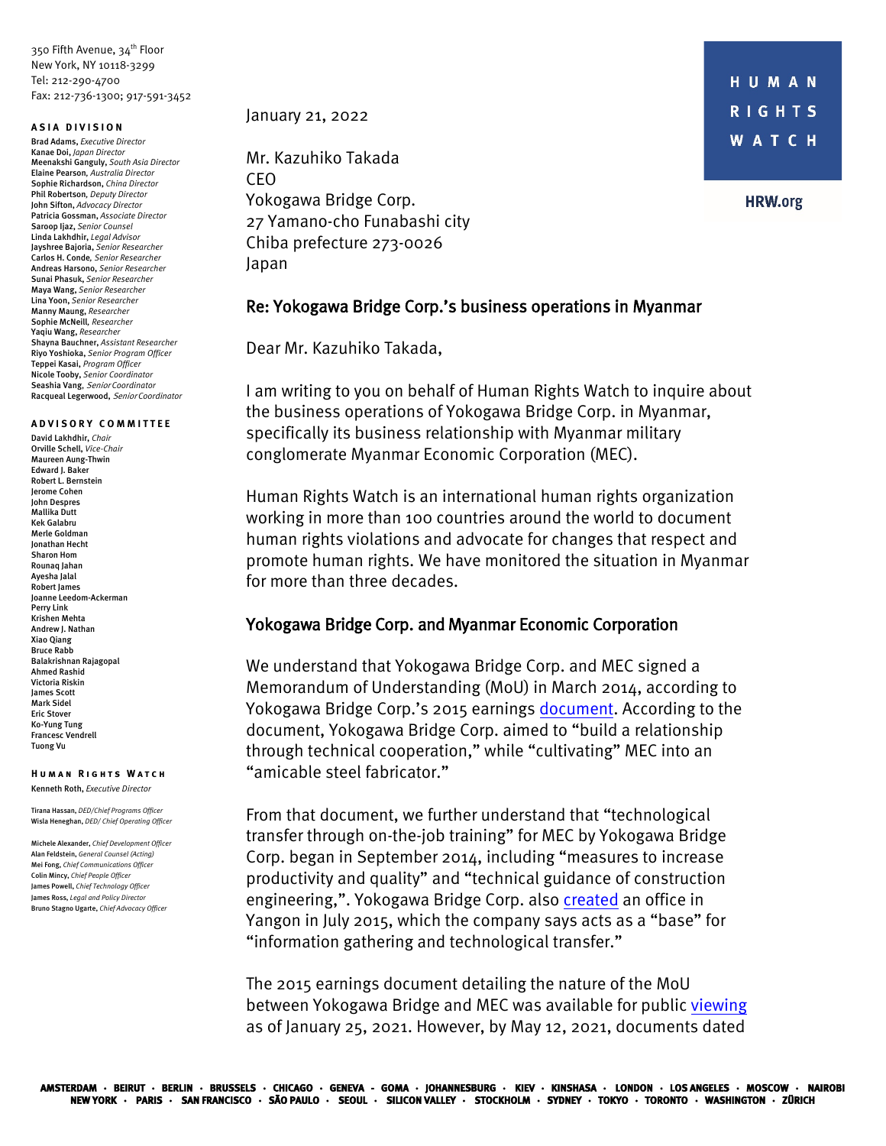350 Fifth Avenue, 34<sup>th</sup> Floor New York, NY 10118-3299 Tel: 212-290-4700 Fax: 212-736-1300; 917-591-3452

#### **ASIA DIVISION**

Brad Adams, *Executive Director* Kanae Doi, *Japan Director* Meenakshi Ganguly, *South Asia Director*  Elaine Pearson*, Australia Director* Sophie Richardson, *China Director* Phil Robertson*, Deputy Director* John Sifton, *Advocacy Director* Patricia Gossman, *Associate Director* Saroop Ijaz, *Senior Counsel* Linda Lakhdhir, *Legal Advisor* Jayshree Bajoria, *Senior Researcher* Carlos H. Conde*, Senior Researcher* Andreas Harsono, *Senior Researcher* Sunai Phasuk, *Senior Researcher* Maya Wang, *Senior Researcher* Lina Yoon, *Senior Researcher* Manny Maung, *Researcher* Sophie McNeill*, Researcher* Yaqiu Wang, *Researcher* Shayna Bauchner, *Assistant Researcher* Riyo Yoshioka, *Senior Program Officer* Teppei Kasai, *Program Officer* Nicole Tooby, *Senior Coordinator* Seashia Vang, Senior *Coordinator* Racqueal Legerwood, Senior *Coordinator*

### **ADVISORY COMMITTEE**

David Lakhdhir, *Chair*  Orville Schell, *Vice-Chair* Maureen Aung-Thwin Edward I. Baker Robert L. Bernstein Jerome Cohen John Despres Mallika Dutt Kek Galabru Merle Goldman Jonathan Hecht Sharon Hom Rounaq Jahan Ayesha Jalal Robert James Joanne Leedom-Ackerman Perry Link Krishen Mehta Andrew J. Nathan Xiao Qiang Bruce Rabb Balakrishnan Rajagopal Ahmed Rashid Victoria Riskin James Scott Mark Sidel Eric Stover Ko-Yung Tung Francesc Vendrell Tuong Vu

#### **Hum an Rights Watch** Kenneth Roth, *Executive Director*

Tirana Hassan, *DED/Chief Programs Officer* Wisla Heneghan, *DED/ Chief Operating Officer*

Michele Alexander, *Chief Development Officer* Alan Feldstein, *General Counsel (Acting)*  Mei Fong, *Chief Communications Officer* Colin Mincy, *Chief People Officer* James Powell, *Chief Technology Officer* James Ross, *Legal and Policy Director* Bruno Stagno Ugarte, *Chief Advocacy Officer*

January 21, 2022

Mr. Kazuhiko Takada CEO Yokogawa Bridge Corp. 27 Yamano-cho Funabashi city Chiba prefecture 273-0026 Japan

### Re: Yokogawa Bridge Corp.'s business operations in Myanmar

Dear Mr. Kazuhiko Takada,

I am writing to you on behalf of Human Rights Watch to inquire about the business operations of Yokogawa Bridge Corp. in Myanmar, specifically its business relationship with Myanmar military conglomerate Myanmar Economic Corporation (MEC).

Human Rights Watch is an international human rights organization working in more than 100 countries around the world to document human rights violations and advocate for changes that respect and promote human rights. We have monitored the situation in Myanmar for more than three decades.

### Yokogawa Bridge Corp. and Myanmar Economic Corporation

We understand that Yokogawa Bridge Corp. and MEC signed a Memorandum of Understanding (MoU) in March 2014, according to Yokogawa Bridge Corp.'s 2015 earnings [document.](https://web.archive.org/web/20190513101731/http:/ybhd.co.jp/ir/pdf/settlement_20151112-2.pdf#zoom=100) According to the document, Yokogawa Bridge Corp. aimed to "build a relationship through technical cooperation," while "cultivating" MEC into an "amicable steel fabricator."

From that document, we further understand that "technological transfer through on-the-job training" for MEC by Yokogawa Bridge Corp. began in September 2014, including "measures to increase productivity and quality" and "technical guidance of construction engineering,". Yokogawa Bridge Corp. also [created](http://ke.kabupro.jp/tsp/20150729/140120150728461465.pdf) an office in Yangon in July 2015, which the company says acts as a "base" for "information gathering and technological transfer."

The 2015 earnings document detailing the nature of the MoU between Yokogawa Bridge and MEC was available for public [viewing](https://web.archive.org/web/20210125010938/http:/www.ybhd.co.jp/ir/results-briefing.html) as of January 25, 2021. However, by May 12, 2021, documents dated

**HRW.org**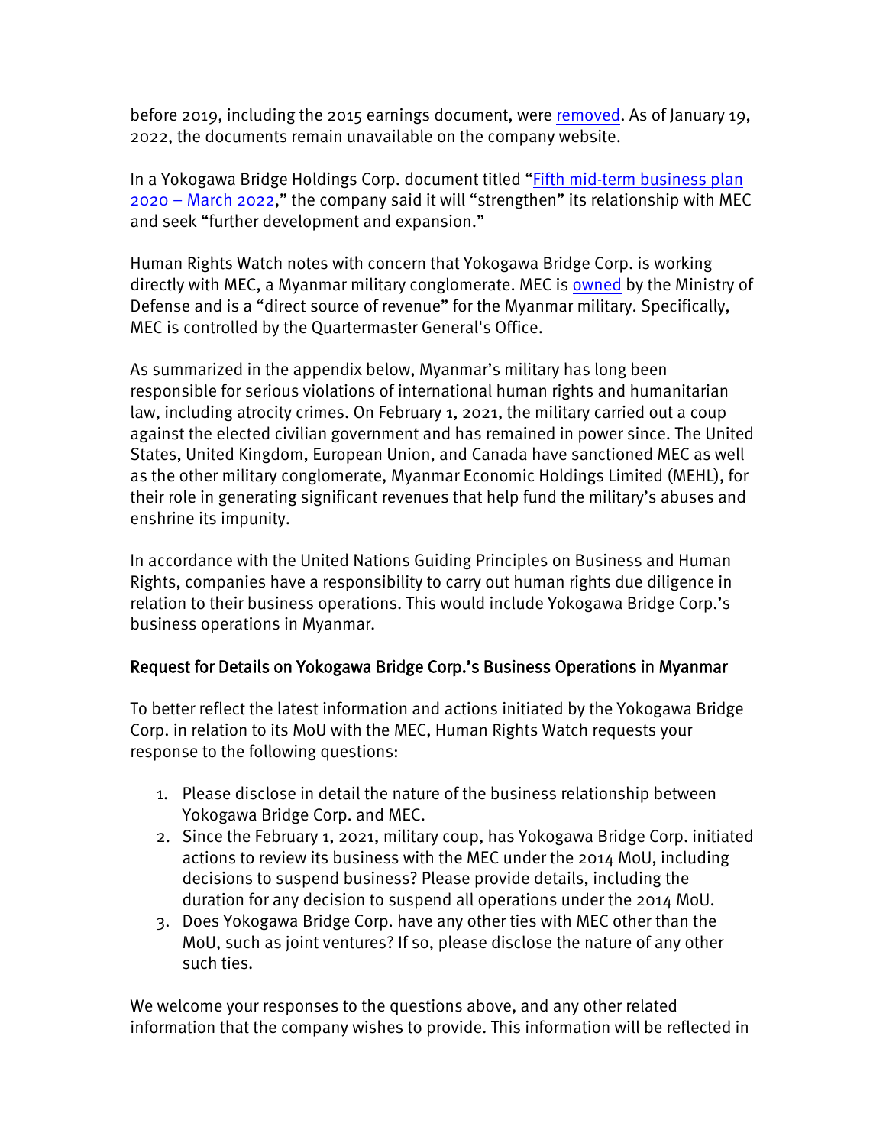before 2019, including the 2015 earnings document, were [removed.](https://web.archive.org/web/20210512044714/https:/www.ybhd.co.jp/ir/results-briefing.html) As of January 19, 2022, the documents remain unavailable on the company website.

In a Yokogawa Bridge Holdings Corp. document titled ["Fifth mid-term business plan](https://www.ybhd.co.jp/dcms_media/other/settlement_20190522-2.pdf#zoom=100)  [2020 – March 2022,](https://www.ybhd.co.jp/dcms_media/other/settlement_20190522-2.pdf#zoom=100)" the company said it will "strengthen" its relationship with MEC and seek "further development and expansion."

Human Rights Watch notes with concern that Yokogawa Bridge Corp. is working directly with MEC, a Myanmar military conglomerate. MEC is [owned](https://www.ohchr.org/Documents/HRBodies/HRCouncil/FFM-Myanmar/EconomicInterestsMyanmarMilitary/Infographic1_Governance_Structure_of_MEHL_and_MEC.pdf) by the Ministry of Defense and is a "direct source of revenue" for the Myanmar military. Specifically, MEC is controlled by the Quartermaster General's Office.

As summarized in the appendix below, Myanmar's military has long been responsible for serious violations of international human rights and humanitarian law, including atrocity crimes. On February 1, 2021, the military carried out a coup against the elected civilian government and has remained in power since. The United States, United Kingdom, European Union, and Canada have sanctioned MEC as well as the other military conglomerate, Myanmar Economic Holdings Limited (MEHL), for their role in generating significant revenues that help fund the military's abuses and enshrine its impunity.

In accordance with the United Nations Guiding Principles on Business and Human Rights, companies have a responsibility to carry out human rights due diligence in relation to their business operations. This would include Yokogawa Bridge Corp.'s business operations in Myanmar.

## Request for Details on Yokogawa Bridge Corp.'s Business Operations in Myanmar

To better reflect the latest information and actions initiated by the Yokogawa Bridge Corp. in relation to its MoU with the MEC, Human Rights Watch requests your response to the following questions:

- 1. Please disclose in detail the nature of the business relationship between Yokogawa Bridge Corp. and MEC.
- 2. Since the February 1, 2021, military coup, has Yokogawa Bridge Corp. initiated actions to review its business with the MEC under the 2014 MoU, including decisions to suspend business? Please provide details, including the duration for any decision to suspend all operations under the 2014 MoU.
- 3. Does Yokogawa Bridge Corp. have any other ties with MEC other than the MoU, such as joint ventures? If so, please disclose the nature of any other such ties.

We welcome your responses to the questions above, and any other related information that the company wishes to provide. This information will be reflected in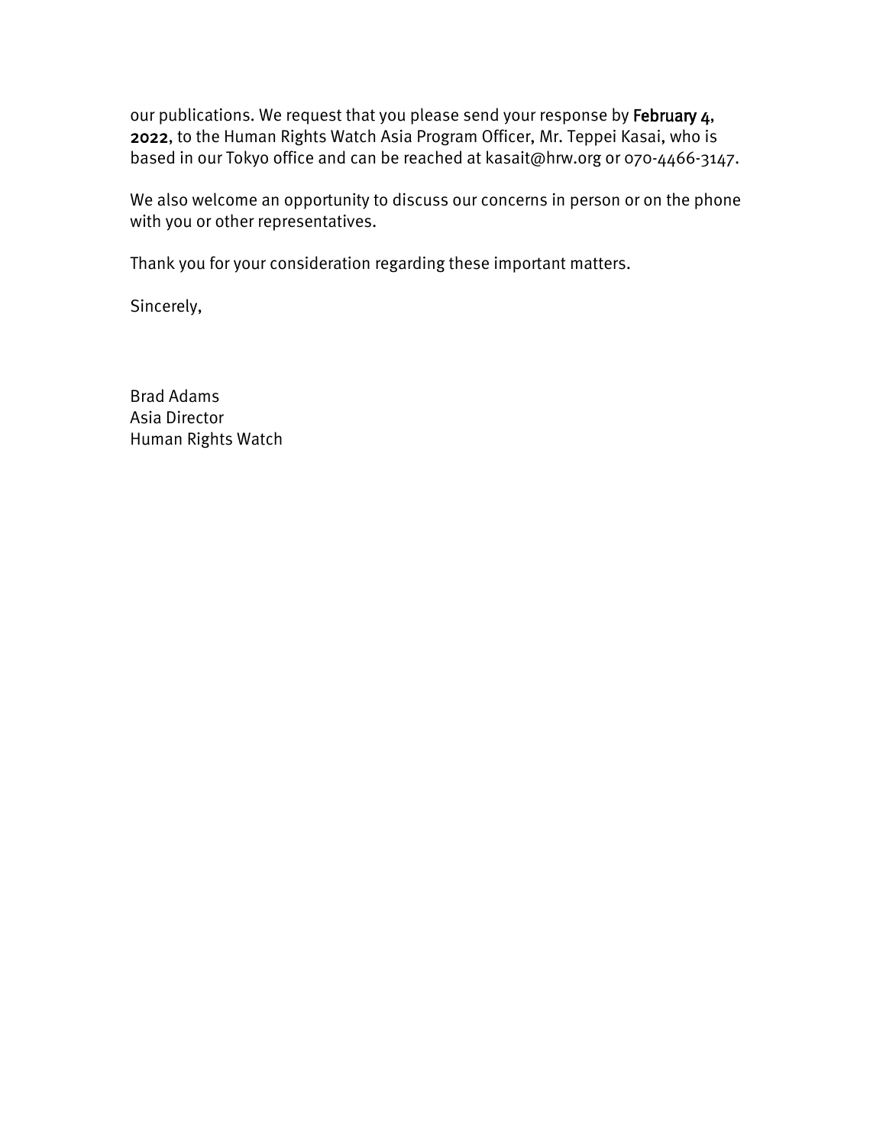our publications. We request that you please send your response by February 4, 2022, to the Human Rights Watch Asia Program Officer, Mr. Teppei Kasai, who is based in our Tokyo office and can be reached at kasait@hrw.org or 070-4466-3147.

We also welcome an opportunity to discuss our concerns in person or on the phone with you or other representatives.

Thank you for your consideration regarding these important matters.

Sincerely,

Brad Adams Asia Director Human Rights Watch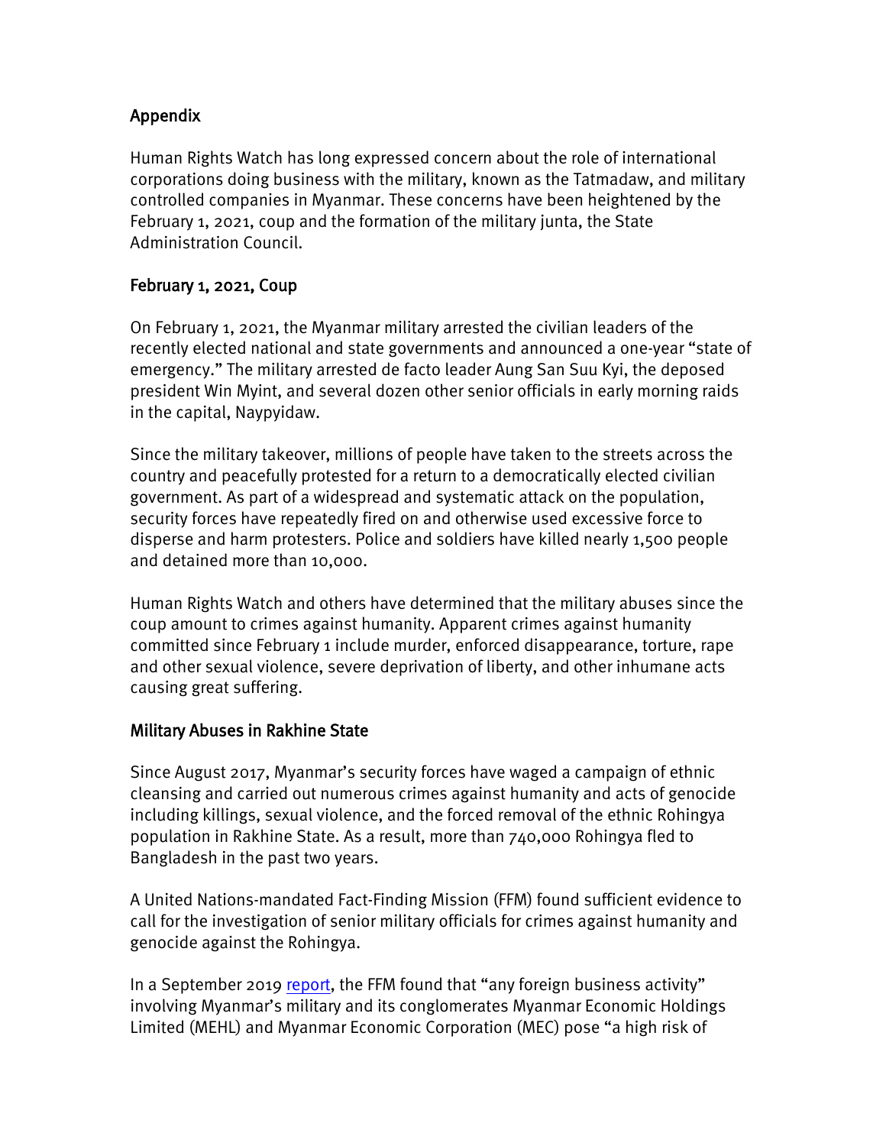# Appendix

Human Rights Watch has long expressed concern about the role of international corporations doing business with the military, known as the Tatmadaw, and military controlled companies in Myanmar. These concerns have been heightened by the February 1, 2021, coup and the formation of the military junta, the State Administration Council.

# February 1, 2021, Coup

On February 1, 2021, the Myanmar military arrested the civilian leaders of the recently elected national and state governments and announced a one-year "state of emergency." The military arrested de facto leader Aung San Suu Kyi, the deposed president Win Myint, and several dozen other senior officials in early morning raids in the capital, Naypyidaw.

Since the military takeover, millions of people have taken to the streets across the country and peacefully protested for a return to a democratically elected civilian government. As part of a widespread and systematic attack on the population, security forces have repeatedly fired on and otherwise used excessive force to disperse and harm protesters. Police and soldiers have killed nearly 1,500 people and detained more than 10,000.

Human Rights Watch and others have determined that the military abuses since the coup amount to crimes against humanity. Apparent crimes against humanity committed since February 1 include murder, enforced disappearance, torture, rape and other sexual violence, severe deprivation of liberty, and other inhumane acts causing great suffering.

## Military Abuses in Rakhine State

Since August 2017, Myanmar's security forces have waged a campaign of ethnic cleansing and carried out numerous crimes against humanity and acts of genocide including killings, sexual violence, and the forced removal of the ethnic Rohingya population in Rakhine State. As a result, more than 740,000 Rohingya fled to Bangladesh in the past two years.

A United Nations-mandated Fact-Finding Mission (FFM) found sufficient evidence to call for the investigation of senior military officials for crimes against humanity and genocide against the Rohingya.

In a September 2019 [report,](https://www.ohchr.org/EN/HRBodies/HRC/MyanmarFFM/Pages/EconomicInterestsMyanmarMilitary.aspx) the FFM found that "any foreign business activity" involving Myanmar's military and its conglomerates Myanmar Economic Holdings Limited (MEHL) and Myanmar Economic Corporation (MEC) pose "a high risk of